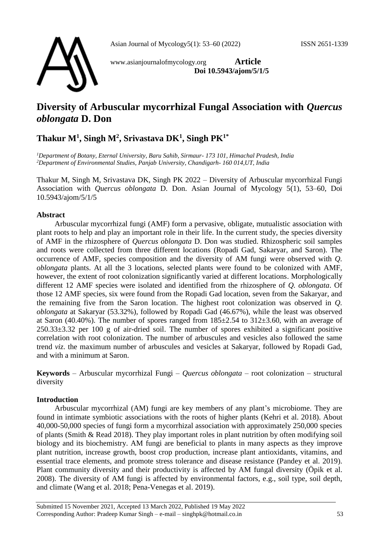

www.asianjournalofmycology.org **Article Doi 10.5943/ajom/5/1/5**

# **Diversity of Arbuscular mycorrhizal Fungal Association with** *Quercus oblongata* **D. Don**

## **Thakur M<sup>1</sup> , Singh M<sup>2</sup> , Srivastava DK<sup>1</sup> , Singh PK1\***

*<sup>1</sup>Department of Botany, Eternal University, Baru Sahib, Sirmaur- 173 101, Himachal Pradesh, India <sup>2</sup>Department of Environmental Studies, Panjab University, Chandigarh- 160 014,UT, India*

Thakur M, Singh M, Srivastava DK, Singh PK 2022 – Diversity of Arbuscular mycorrhizal Fungi Association with *Quercus oblongata* D. Don. Asian Journal of Mycology 5(1), 53–60, Doi 10.5943/ajom/5/1/5

### **Abstract**

Arbuscular mycorrhizal fungi (AMF) form a pervasive, obligate, mutualistic association with plant roots to help and play an important role in their life. In the current study, the species diversity of AMF in the rhizosphere of *Quercus oblongata* D. Don was studied. Rhizospheric soil samples and roots were collected from three different locations (Ropadi Gad, Sakaryar, and Saron). The occurrence of AMF, species composition and the diversity of AM fungi were observed with *Q. oblongata* plants. At all the 3 locations, selected plants were found to be colonized with AMF, however, the extent of root colonization significantly varied at different locations. Morphologically different 12 AMF species were isolated and identified from the rhizosphere of *Q. oblongata*. Of those 12 AMF species, six were found from the Ropadi Gad location, seven from the Sakaryar, and the remaining five from the Saron location. The highest root colonization was observed in *Q. oblongata* at Sakaryar (53.32%), followed by Ropadi Gad (46.67%), while the least was observed at Saron (40.40%). The number of spores ranged from  $185\pm2.54$  to  $312\pm3.60$ , with an average of 250.33±3.32 per 100 g of air-dried soil. The number of spores exhibited a significant positive correlation with root colonization. The number of arbuscules and vesicles also followed the same trend *viz*. the maximum number of arbuscules and vesicles at Sakaryar, followed by Ropadi Gad, and with a minimum at Saron.

**Keywords** – Arbuscular mycorrhizal Fungi – *Quercus oblongata* – root colonization – structural diversity

## **Introduction**

Arbuscular mycorrhizal (AM) fungi are key members of any plant's microbiome. They are found in intimate symbiotic associations with the roots of higher plants (Kehri et al. 2018). About 40,000-50,000 species of fungi form a mycorrhizal association with approximately 250,000 species of plants (Smith & Read 2018). They play important roles in plant nutrition by often modifying soil biology and its biochemistry. AM fungi are beneficial to plants in many aspects as they improve plant nutrition, increase growth, boost crop production, increase plant antioxidants, vitamins, and essential trace elements, and promote stress tolerance and disease resistance (Pandey et al. 2019). Plant community diversity and their productivity is affected by AM fungal diversity (Öpik et al. 2008). The diversity of AM fungi is affected by environmental factors, e.g., soil type, soil depth, and climate (Wang et al. 2018; Pena-Venegas et al. 2019).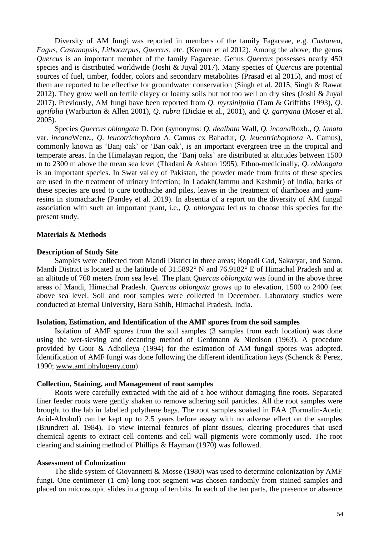Diversity of AM fungi was reported in members of the family Fagaceae, e.g. *Castanea, Fagus, Castanopsis, Lithocarpus, Quercus,* etc. (Kremer et al 2012). Among the above, the genus *Quercus* is an important member of the family Fagaceae. Genus *Quercus* possesses nearly 450 species and is distributed worldwide (Joshi & Juyal 2017). Many species of *Quercus* are potential sources of fuel, timber, fodder, colors and secondary metabolites (Prasad et al 2015), and most of them are reported to be effective for groundwater conservation (Singh et al. 2015, Singh & Rawat 2012). They grow well on fertile clayey or loamy soils but not too well on dry sites (Joshi & Juyal 2017). Previously, AM fungi have been reported from *Q. myrsinifolia* (Tam & Griffiths 1993), *Q. agrifolia* (Warburton & Allen 2001), *Q. rubra* (Dickie et al., 2001), and *Q. garryana* (Moser et al. 2005).

Species *Quercus oblongata* D. Don (synonyms: *Q. dealbata* Wall, *Q. incana*Roxb., *Q. lanata* var. *incana*Wenz., *Q. leucotrichophora* A. Camus ex Bahadur, *Q. leucotrichophora* A. Camus), commonly known as 'Banj oak' or 'Ban oak', is an important evergreen tree in the tropical and temperate areas. In the Himalayan region, the 'Banj oaks' are distributed at altitudes between 1500 m to 2300 m above the mean sea level (Thadani & Ashton 1995). Ethno-medicinally, *Q. oblongata* is an important species. In Swat valley of Pakistan, the powder made from fruits of these species are used in the treatment of urinary infection; In Ladakh(Jammu and Kashmir) of India, barks of these species are used to cure toothache and piles, leaves in the treatment of diarrhoea and gumresins in stomachache (Pandey et al. 2019). In absentia of a report on the diversity of AM fungal association with such an important plant, i.e., *Q. oblongata* led us to choose this species for the present study.

#### **Materials & Methods**

#### **Description of Study Site**

Samples were collected from Mandi District in three areas; Ropadi Gad, Sakaryar, and Saron. Mandi District is located at the latitude of 31.5892° N and 76.9182° E of Himachal Pradesh and at an altitude of 760 meters from sea level. The plant *Quercus oblongata* was found in the above three areas of Mandi, Himachal Pradesh*. Quercus oblongata* grows up to elevation, 1500 to 2400 feet above sea level. Soil and root samples were collected in December. Laboratory studies were conducted at Eternal University, Baru Sahib, Himachal Pradesh, India.

#### **Isolation, Estimation, and Identification of the AMF spores from the soil samples**

Isolation of AMF spores from the soil samples (3 samples from each location) was done using the wet-sieving and decanting method of Gerdmann & Nicolson (1963). A procedure provided by Gour & Adholleya (1994) for the estimation of AM fungal spores was adopted. Identification of AMF fungi was done following the different identification keys (Schenck & Perez, 1990; [www.amf.phylogeny.com\)](http://www.amf.phylogeny.com/).

#### **Collection, Staining, and Management of root samples**

Roots were carefully extracted with the aid of a hoe without damaging fine roots. Separated finer feeder roots were gently shaken to remove adhering soil particles. All the root samples were brought to the lab in labelled polythene bags. The root samples soaked in FAA (Formalin-Acetic Acid-Alcohol) can be kept up to 2.5 years before assay with no adverse effect on the samples (Brundrett al. 1984). To view internal features of plant tissues, clearing procedures that used chemical agents to extract cell contents and cell wall pigments were commonly used. The root clearing and staining method of Phillips & Hayman (1970) was followed.

#### **Assessment of Colonization**

The slide system of Giovannetti & Mosse  $(1980)$  was used to determine colonization by AMF fungi. One centimeter (1 cm) long root segment was chosen randomly from stained samples and placed on microscopic slides in a group of ten bits. In each of the ten parts, the presence or absence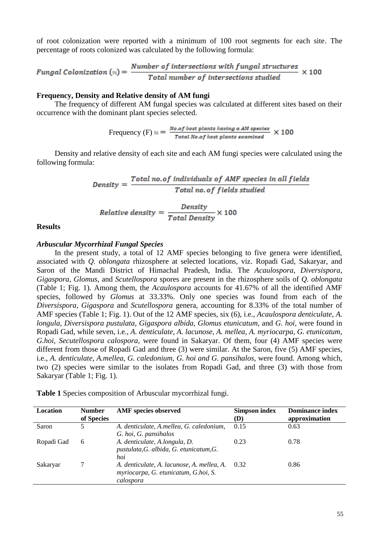of root colonization were reported with a minimum of 100 root segments for each site. The percentage of roots colonized was calculated by the following formula:

$$
Fungal \, Cohization \, (*) = \, \frac{Number \, of \, intersections \, with \, fungal \, structures}{Total \, number \, of \, intersections \, studied} \, \times 100
$$

#### **Frequency, Density and Relative density of AM fungi**

The frequency of different AM fungal species was calculated at different sites based on their occurrence with the dominant plant species selected.

Frequency (F) 
$$
\frac{N_{0.0f} \text{ host plants having a AM species}}{\text{Total No.of host plants examined}} \times 100
$$

Density and relative density of each site and each AM fungi species were calculated using the following formula:

> $Density = \frac{Total\ no. of\ individuals\ of\ AMF\ species\ in\ all\ fields}{Total\ no. \ of\ fields\ studied}$  $Relative density = \frac{Density}{Total Density} \times 100$

#### **Results**

#### *Arbuscular Mycorrhizal Fungal Species*

In the present study, a total of 12 AMF species belonging to five genera were identified, associated with *Q. oblongata* rhizosphere at selected locations, viz. Ropadi Gad, Sakaryar, and Saron of the Mandi District of Himachal Pradesh, India. The *Acaulospora, Diversispora, Gigaspora, Glomus*, and *Scutellospora* spores are present in the rhizosphere soils of *Q. oblongata* (Table 1; Fig. 1). Among them, the *Acaulospora* accounts for 41.67% of all the identified AMF species, followed by *Glomus* at 33.33%. Only one species was found from each of the *Diversispora, Gigaspora* and *Scutellospora* genera, accounting for 8.33% of the total number of AMF species (Table 1; Fig. 1). Out of the 12 AMF species, six (6), i.e., *Acaulospora denticulate*, *A. longula, Diversispora pustulata, Gigaspora albida, Glomus etunicatum*, and *G. hoi,* were found in Ropadi Gad, while seven, i.e., *A. denticulate, A. lacunose, A. mellea, A. myriocarpa, G. etunicatum, G.hoi, Secutellospora calospora,* were found in Sakaryar. Of them, four (4) AMF species were different from those of Ropadi Gad and three (3) were similar. At the Saron, five (5) AMF species, i.e., *A. denticulate, A.mellea, G. caledonium, G. hoi and G. pansihalos,* were found. Among which, two (2) species were similar to the isolates from Ropadi Gad, and three (3) with those from Sakaryar (Table 1; Fig. 1).

| Table 1 Species composition of Arbuscular mycorrhizal fungi. |  |  |  |  |  |  |  |  |  |  |  |
|--------------------------------------------------------------|--|--|--|--|--|--|--|--|--|--|--|
|--------------------------------------------------------------|--|--|--|--|--|--|--|--|--|--|--|

| Location   | <b>Number</b><br>of Species | <b>AMF</b> species observed                                                        | <b>Simpson index</b><br>(D) | <b>Dominance index</b><br>approximation |
|------------|-----------------------------|------------------------------------------------------------------------------------|-----------------------------|-----------------------------------------|
| Saron      | 5                           | A. denticulate, A.mellea, G. caledonium,                                           | 0.15                        | 0.63                                    |
| Ropadi Gad | 6                           | G. hoi, G. pansihalos<br>A. denticulate, A.longula, D.                             | 0.23                        | 0.78                                    |
|            |                             | pustulata, G. albida, G. etunicatum, G.<br>hoi                                     |                             |                                         |
| Sakaryar   |                             | A. denticulate, A. lacunose, A. mellea, A.<br>myriocarpa, G. etunicatum, G.hoi, S. | 0.32                        | 0.86                                    |
|            |                             | calospora                                                                          |                             |                                         |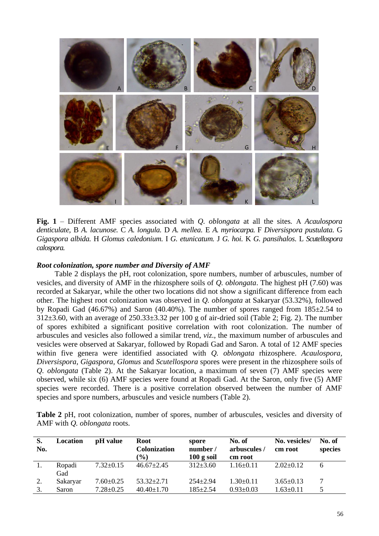

**Fig. 1** – Different AMF species associated with *Q. oblongata* at all the sites*.* A *Acaulospora denticulate,* B *A. lacunose.* C *A. longula.* D *A. mellea.* E *A. myriocarpa.* F *Diversispora pustulata.* G *Gigaspora albida.* H *Glomus caledonium.* I *G. etunicatum.* J *G. hoi.* K *G. pansihalos.* L *Scutellospora calospora.*

### *Root colonization, spore number and Diversity of AMF*

Table 2 displays the pH, root colonization, spore numbers, number of arbuscules, number of vesicles, and diversity of AMF in the rhizosphere soils of *Q. oblongata*. The highest pH (7.60) was recorded at Sakaryar, while the other two locations did not show a significant difference from each other. The highest root colonization was observed in *Q. oblongata* at Sakaryar (53.32%), followed by Ropadi Gad (46.67%) and Saron (40.40%). The number of spores ranged from 185±2.54 to  $312\pm3.60$ , with an average of  $250.33\pm3.32$  per 100 g of air-dried soil (Table 2; Fig. 2). The number of spores exhibited a significant positive correlation with root colonization. The number of arbuscules and vesicles also followed a similar trend, *viz*., the maximum number of arbuscules and vesicles were observed at Sakaryar, followed by Ropadi Gad and Saron. A total of 12 AMF species within five genera were identified associated with *Q. oblongata* rhizosphere. *Acaulospora, Diversispora, Gigaspora, Glomus* and *Scutellospora* spores were present in the rhizosphere soils of *Q. oblongata* (Table 2). At the Sakaryar location, a maximum of seven (7) AMF species were observed, while six (6) AMF species were found at Ropadi Gad. At the Saron, only five (5) AMF species were recorded. There is a positive correlation observed between the number of AMF species and spore numbers, arbuscules and vesicle numbers (Table 2).

**Table 2** pH, root colonization, number of spores, number of arbuscules, vesicles and diversity of AMF with *Q. oblongata* roots.

| S.<br>No. | Location      | pH value        | Root<br><b>Colonization</b><br>$(\%)$ | spore<br>number/<br>$100$ g soil | No. of<br>arbuscules/<br>cm root | No. vesicles/<br>cm root | No. of<br>species |
|-----------|---------------|-----------------|---------------------------------------|----------------------------------|----------------------------------|--------------------------|-------------------|
| 1.        | Ropadi<br>Gad | $7.32 \pm 0.15$ | $46.67 \pm 2.45$                      | $312\pm3.60$                     | $1.16 \pm 0.11$                  | $2.02 \pm 0.12$          | 6                 |
| 2.        | Sakaryar      | $7.60 \pm 0.25$ | $53.32 \pm 2.71$                      | $254 \pm 2.94$                   | $1.30\pm0.11$                    | $3.65 \pm 0.13$          |                   |
| 3.        | Saron         | $7.28 \pm 0.25$ | $40.40 \pm 1.70$                      | $185 \pm 2.54$                   | $0.93 \pm 0.03$                  | $1.63 \pm 0.11$          |                   |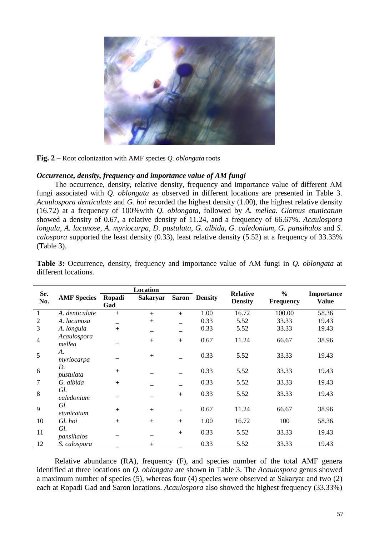

**Fig. 2** – Root colonization with AMF species *Q. oblongata* roots

## *Occurrence, density, frequency and importance value of AM fungi*

The occurrence, density, relative density, frequency and importance value of different AM fungi associated with *Q. oblongata* as observed in different locations are presented in Table 3. *Acaulospora denticulate* and *G. hoi* recorded the highest density (1.00), the highest relative density (16.72) at a frequency of 100%with *Q. oblongata*, followed by *A. mellea. Glomus etunicatum*  showed a density of 0.67, a relative density of 11.24, and a frequency of 66.67%. *Acaulospora longula, A. lacunose, A. myriocarpa, D. pustulata, G. albida, G. caledonium, G. pansihalos* and *S. calospora* supported the least density (0.33), least relative density (5.52) at a frequency of 33.33% (Table 3).

| Sr.            |                       | <b>Location</b> |                 |     |                      | <b>Relative</b>                    | $\frac{0}{0}$ | Importance   |  |
|----------------|-----------------------|-----------------|-----------------|-----|----------------------|------------------------------------|---------------|--------------|--|
| No.            | <b>AMF</b> Species    | Ropadi<br>Gad   | <b>Sakaryar</b> |     | <b>Saron</b> Density | <b>Density</b><br><b>Frequency</b> |               | <b>Value</b> |  |
| 1              | A. denticulate        | $+$             | $+$             | $+$ | 1.00                 | 16.72                              | 100.00        | 58.36        |  |
| $\overline{2}$ | A. lacunosa           |                 | $+$             |     | 0.33                 | 5.52                               | 33.33         | 19.43        |  |
| 3              | A. longula            | $+$             |                 |     | 0.33                 | 5.52                               | 33.33         | 19.43        |  |
| $\overline{4}$ | Acaulospora<br>mellea |                 | $+$             | $+$ | 0.67                 | 11.24                              | 66.67         | 38.96        |  |
| 5              | A.<br>myriocarpa      |                 | $\ddot{}$       |     | 0.33                 | 5.52                               | 33.33         | 19.43        |  |
| 6              | D.<br>pustulata       | $+$             |                 |     | 0.33                 | 5.52                               | 33.33         | 19.43        |  |
| 7              | G. albida             | $+$             |                 |     | 0.33                 | 5.52                               | 33.33         | 19.43        |  |
| 8              | Gl.<br>caledonium     |                 |                 | $+$ | 0.33                 | 5.52                               | 33.33         | 19.43        |  |
| 9              | Gl.<br>etunicatum     | $+$             | $+$             |     | 0.67                 | 11.24                              | 66.67         | 38.96        |  |
| 10             | Gl. hoi               | $+$             | $+$             | $+$ | 1.00                 | 16.72                              | 100           | 58.36        |  |
| 11             | Gl.<br>pansihalos     |                 |                 | $+$ | 0.33                 | 5.52                               | 33.33         | 19.43        |  |
| 12             | S. calospora          |                 | $\ddot{}$       |     | 0.33                 | 5.52                               | 33.33         | 19.43        |  |

**Table 3:** Occurrence, density, frequency and importance value of AM fungi in *Q. oblongata* at different locations.

Relative abundance (RA), frequency (F), and species number of the total AMF genera identified at three locations on *Q. oblongata* are shown in Table 3. The *Acaulospora* genus showed a maximum number of species (5), whereas four (4) species were observed at Sakaryar and two (2) each at Ropadi Gad and Saron locations. *Acaulospora* also showed the highest frequency (33.33%)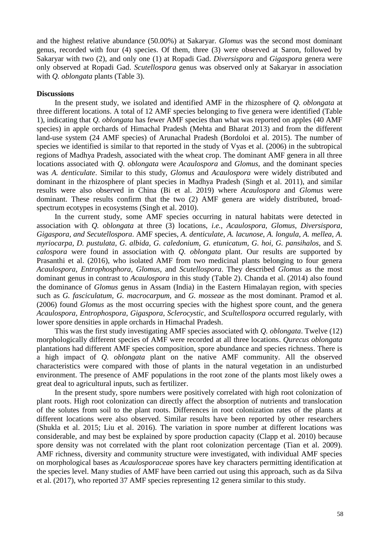and the highest relative abundance (50.00%) at Sakaryar. *Glomus* was the second most dominant genus, recorded with four (4) species. Of them, three (3) were observed at Saron, followed by Sakaryar with two (2), and only one (1) at Ropadi Gad. *Diversispora* and *Gigaspora* genera were only observed at Ropadi Gad. *Scutellospora* genus was observed only at Sakaryar in association with *Q. oblongata* plants (Table 3).

### **Discussions**

In the present study, we isolated and identified AMF in the rhizosphere of *Q. oblongata* at three different locations. A total of 12 AMF species belonging to five genera were identified (Table 1), indicating that *Q. oblongata* has fewer AMF species than what was reported on apples (40 AMF species) in apple orchards of Himachal Pradesh (Mehta and Bharat 2013) and from the different land-use system (24 AMF species) of Arunachal Pradesh (Bordoloi et al. 2015). The number of species we identified is similar to that reported in the study of Vyas et al. (2006) in the subtropical regions of Madhya Pradesh, associated with the wheat crop. The dominant AMF genera in all three locations associated with *Q. oblongata* were *Acaulospora* and *Glomus,* and the dominant species was *A. denticulate*. Similar to this study, *Glomus* and *Acaulospora* were widely distributed and dominant in the rhizosphere of plant species in Madhya Pradesh (Singh et al. 2011), and similar results were also observed in China (Bi et al. 2019) where *Acaulospora* and *Glomus* were dominant. These results confirm that the two (2) AMF genera are widely distributed, broadspectrum ecotypes in ecosystems (Singh et al. 2010).

In the current study, some AMF species occurring in natural habitats were detected in association with *Q. oblongata* at three (3) locations, *i.e., Acaulospora, Glomus, Diversispora, Gigaspora, and Secutellospora*. AMF species, *A. denticulate*, *A. lacunose*, *A. longula*, *A. mellea*, *A. myriocarpa*, *D. pustulata*, *G. albida, G. caledonium, G. etunicatum, G. hoi, G. pansihalos,* and *S. calospora* were found in association with *Q. oblongata* plant. Our results are supported by Prasanthi et al. (2016), who isolated AMF from two medicinal plants belonging to four genera *Acaulospora, Entrophosphora, Glomus*, and *Scutellospora*. They described *Glomus* as the most dominant genus in contrast to *Acaulospora* in this study (Table 2). Chanda et al. (2014) also found the dominance of *Glomus* genus in Assam (India) in the Eastern Himalayan region, with species such as *G. fasciculatum, G. macrocarpum,* and *G. mosseae* as the most dominant. Pramod et al. (2006) found *Glomus* as the most occurring species with the highest spore count, and the genera *Acaulospora, Entrophospora, Gigaspora, Sclerocystic,* and *Scultellospora* occurred regularly, with lower spore densities in apple orchards in Himachal Pradesh.

This was the first study investigating AMF species associated with *Q. oblongata*. Twelve (12) morphologically different species of AMF were recorded at all three locations. *Qurecus oblongata*  plantations had different AMF species composition, spore abundance and species richness. There is a high impact of *Q. oblongata* plant on the native AMF community. All the observed characteristics were compared with those of plants in the natural vegetation in an undisturbed environment. The presence of AMF populations in the root zone of the plants most likely owes a great deal to agricultural inputs, such as fertilizer.

In the present study, spore numbers were positively correlated with high root colonization of plant roots. High root colonization can directly affect the absorption of nutrients and translocation of the solutes from soil to the plant roots. Differences in root colonization rates of the plants at different locations were also observed. Similar results have been reported by other researchers (Shukla et al. 2015; Liu et al. 2016). The variation in spore number at different locations was considerable, and may best be explained by spore production capacity (Clapp et al. 2010) because spore density was not correlated with the plant root colonization percentage (Tian et al. 2009). AMF richness, diversity and community structure were investigated, with individual AMF species on morphological bases as *Acaulosporaceae* spores have key characters permitting identification at the species level. Many studies of AMF have been carried out using this approach, such as da Silva et al. (2017), who reported 37 AMF species representing 12 genera similar to this study.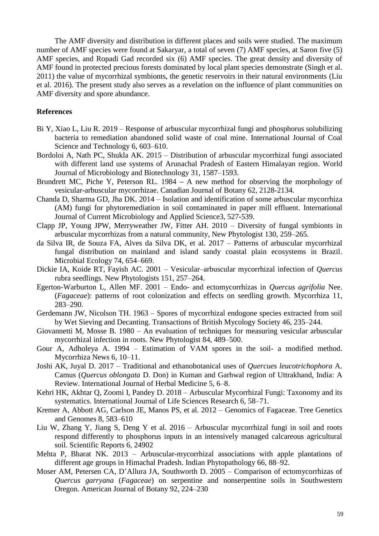The AMF diversity and distribution in different places and soils were studied. The maximum number of AMF species were found at Sakaryar, a total of seven (7) AMF species, at Saron five (5) AMF species, and Ropadi Gad recorded six (6) AMF species. The great density and diversity of AMF found in protected precious forests dominated by local plant species demonstrate (Singh et al. 2011) the value of mycorrhizal symbionts, the genetic reservoirs in their natural environments (Liu et al. 2016). The present study also serves as a revelation on the influence of plant communities on AMF diversity and spore abundance.

#### **References**

- Bi Y, Xiao L, Liu R. 2019 Response of arbuscular mycorrhizal fungi and phosphorus solubilizing bacteria to remediation abandoned solid waste of coal mine. International Journal of Coal Science and Technology 6, 603–610.
- Bordoloi A, Nath PC, Shukla AK. 2015 Distribution of arbuscular mycorrhizal fungi associated with different land use systems of Arunachal Pradesh of Eastern Himalayan region. World Journal of Microbiology and Biotechnology 31, 1587–1593.
- Brundrett MC, Piche Y, Peterson RL. 1984 **–** A new method for observing the morphology of vesicular-arbuscular mycorrhizae. Canadian Journal of Botany 62, 2128-2134.
- Chanda D, Sharma GD, Jha DK. 2014 Isolation and identification of some arbuscular mycorrhiza (AM) fungi for phytoremediation in soil contaminated in paper mill effluent. International Journal of Current Microbiology and Applied Science3, 527-539.
- Clapp JP, Young JPW, Merryweather JW, Fitter AH. 2010 Diversity of fungal symbionts in arbuscular mycorrhizas from a natural community, New Phytologist 130, 259–265.
- da Silva IR, de Souza FA, Alves da Silva DK, et al. 2017 Patterns of arbuscular mycorrhizal fungal distribution on mainland and island sandy coastal plain ecosystems in Brazil. Microbial Ecology 74, 654–669.
- Dickie IA, Koide RT, Fayish AC. 2001 Vesicular–arbuscular mycorrhizal infection of *Quercus* rubra seedlings. New Phytologists 151, 257–264.
- Egerton-Warburton L, Allen MF. 2001 Endo- and ectomycorrhizas in *Quercus agrifolia* Nee. (*Fagaceae*): patterns of root colonization and effects on seedling growth. Mycorrhiza 11, 283–290.
- Gerdemann JW, Nicolson TH. 1963 Spores of mycorrhizal endogone species extracted from soil by Wet Sieving and Decanting. Transactions of British Mycology Society 46, 235–244.
- Giovannetti M, Mosse B. 1980 An evaluation of techniques for measuring vesicular arbuscular mycorrhizal infection in roots. New Phytologist 84, 489–500.
- Gour A, Adholeya A. 1994 Estimation of VAM spores in the soil- a modified method. Mycorrhiza News 6, 10–11.
- Joshi AK, Juyal D. 2017 Traditional and ethanobotanical uses of *Quercues leucotrichophora* A. Camus (*Quercus oblongata* D. Don) in Kuman and Garhwal region of Uttrakhand, India: A Review. International Journal of Herbal Medicine 5, 6–8.
- Kehri HK, Akhtar Q, Zoomi I, Pandey D. 2018 Arbuscular Mycorrhizal Fungi: Taxonomy and its systematics. International Journal of Life Sciences Research 6, 58–71.
- Kremer A, Abbott AG, Carlson JE, Manos PS, et al. 2012 Genomics of Fagaceae. Tree Genetics and Genomes 8, 583–610
- Liu W, Zhang Y, Jiang S, Deng Y et al. 2016 Arbuscular mycorrhizal fungi in soil and roots respond differently to phosphorus inputs in an intensively managed calcareous agricultural soil. Scientific Reports 6, 24902
- Mehta P, Bharat NK. 2013 Arbuscular-mycorrhizal associations with apple plantations of different age groups in Himachal Pradesh. Indian Phytopathology 66, 88–92.
- Moser AM, Petersen CA, D'Allura JA, Southworth D. 2005 Comparison of ectomycorrhizas of *Quercus garryana* (*Fagaceae*) on serpentine and nonserpentine soils in Southwestern Oregon. American Journal of Botany 92, 224–230